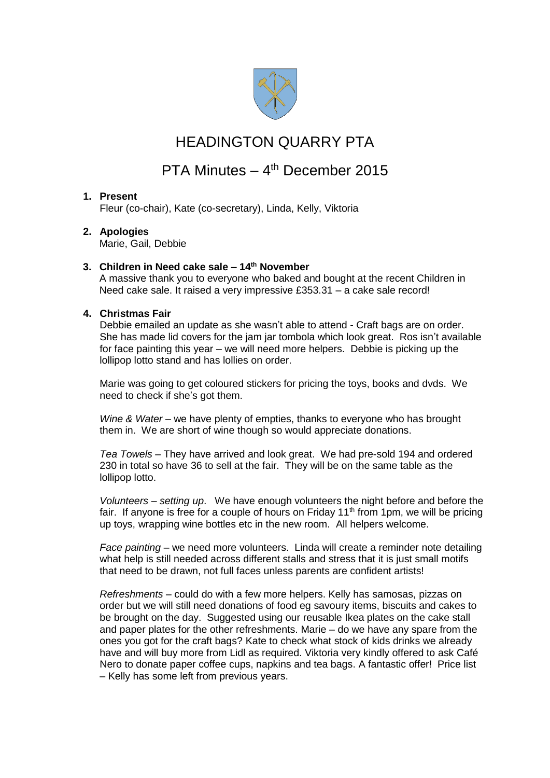

## HEADINGTON QUARRY PTA

# PTA Minutes - 4<sup>th</sup> December 2015

### **1. Present**

Fleur (co-chair), Kate (co-secretary), Linda, Kelly, Viktoria

### **2. Apologies**

Marie, Gail, Debbie

### **3. Children in Need cake sale – 14th November**

A massive thank you to everyone who baked and bought at the recent Children in Need cake sale. It raised a very impressive £353.31 – a cake sale record!

### **4. Christmas Fair**

Debbie emailed an update as she wasn't able to attend - Craft bags are on order. She has made lid covers for the jam jar tombola which look great. Ros isn't available for face painting this year – we will need more helpers. Debbie is picking up the lollipop lotto stand and has lollies on order.

Marie was going to get coloured stickers for pricing the toys, books and dvds. We need to check if she's got them.

*Wine & Water* – we have plenty of empties, thanks to everyone who has brought them in. We are short of wine though so would appreciate donations.

*Tea Towels –* They have arrived and look great. We had pre-sold 194 and ordered 230 in total so have 36 to sell at the fair. They will be on the same table as the lollipop lotto.

*Volunteers – setting up*. We have enough volunteers the night before and before the fair. If anyone is free for a couple of hours on Friday  $11<sup>th</sup>$  from 1pm, we will be pricing up toys, wrapping wine bottles etc in the new room. All helpers welcome.

*Face painting –* we need more volunteers. Linda will create a reminder note detailing what help is still needed across different stalls and stress that it is just small motifs that need to be drawn, not full faces unless parents are confident artists!

*Refreshments –* could do with a few more helpers. Kelly has samosas, pizzas on order but we will still need donations of food eg savoury items, biscuits and cakes to be brought on the day. Suggested using our reusable Ikea plates on the cake stall and paper plates for the other refreshments. Marie – do we have any spare from the ones you got for the craft bags? Kate to check what stock of kids drinks we already have and will buy more from Lidl as required. Viktoria very kindly offered to ask Café Nero to donate paper coffee cups, napkins and tea bags. A fantastic offer! Price list – Kelly has some left from previous years.